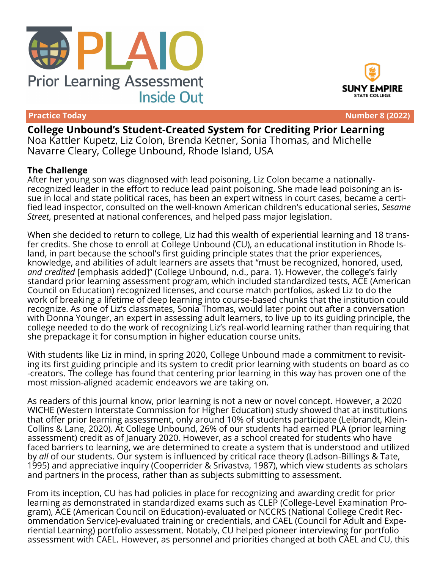



**Practice Today Number 8 (2022)**

**College Unbound's Student-Created System for Crediting Prior Learning** Noa Kattler Kupetz, Liz Colon, Brenda Ketner, Sonia Thomas, and Michelle Navarre Cleary, College Unbound, Rhode Island, USA

### **The Challenge**

After her young son was diagnosed with lead poisoning, Liz Colon became a nationallyrecognized leader in the effort to reduce lead paint poisoning. She made lead poisoning an issue in local and state political races, has been an expert witness in court cases, became a certified lead inspector, consulted on the well-known American children's educational series, *Sesame Street*, presented at national conferences, and helped pass major legislation.

When she decided to return to college, Liz had this wealth of experiential learning and 18 transfer credits. She chose to enroll at College Unbound (CU), an educational institution in Rhode Island, in part because the school's first guiding principle states that the prior experiences, knowledge, and abilities of adult learners are assets that "must be recognized, honored, used, *and credited* [emphasis added]" (College Unbound, n.d., para. 1). However, the college's fairly standard prior learning assessment program, which included standardized tests, ACE (American Council on Education) recognized licenses, and course match portfolios, asked Liz to do the work of breaking a lifetime of deep learning into course-based chunks that the institution could recognize. As one of Liz's classmates, Sonia Thomas, would later point out after a conversation with Donna Younger, an expert in assessing adult learners, to live up to its guiding principle, the college needed to do the work of recognizing Liz's real-world learning rather than requiring that she prepackage it for consumption in higher education course units.

With students like Liz in mind, in spring 2020, College Unbound made a commitment to revisiting its first guiding principle and its system to credit prior learning with students on board as co -creators. The college has found that centering prior learning in this way has proven one of the most mission-aligned academic endeavors we are taking on.

As readers of this journal know, prior learning is not a new or novel concept. However, a 2020 WICHE (Western Interstate Commission for Higher Education) study showed that at institutions that offer prior learning assessment, only around 10% of students participate (Leibrandt, Klein-Collins & Lane, 2020). At College Unbound, 26% of our students had earned PLA (prior learning assessment) credit as of January 2020. However, as a school created for students who have faced barriers to learning, we are determined to create a system that is understood and utilized by *all* of our students. Our system is influenced by critical race theory (Ladson-Billings & Tate, 1995) and appreciative inquiry (Cooperrider & Srivastva, 1987), which view students as scholars and partners in the process, rather than as subjects submitting to assessment.

From its inception, CU has had policies in place for recognizing and awarding credit for prior learning as demonstrated in standardized exams such as CLEP (College-Level Examination Program), ACE (American Council on Education)-evaluated or NCCRS (National College Credit Recommendation Service)-evaluated training or credentials, and CAEL (Council for Adult and Experiential Learning) portfolio assessment. Notably, CU helped pioneer interviewing for portfolio assessment with CAEL. However, as personnel and priorities changed at both CAEL and CU, this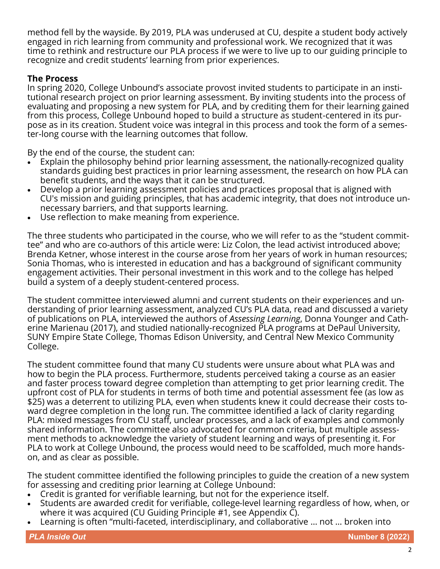method fell by the wayside. By 2019, PLA was underused at CU, despite a student body actively engaged in rich learning from community and professional work. We recognized that it was time to rethink and restructure our PLA process if we were to live up to our guiding principle to recognize and credit students' learning from prior experiences.

## **The Process**

In spring 2020, College Unbound's associate provost invited students to participate in an institutional research project on prior learning assessment. By inviting students into the process of evaluating and proposing a new system for PLA, and by crediting them for their learning gained from this process, College Unbound hoped to build a structure as student-centered in its purpose as in its creation. Student voice was integral in this process and took the form of a semester-long course with the learning outcomes that follow.

By the end of the course, the student can:

- Explain the philosophy behind prior learning assessment, the nationally-recognized quality standards guiding best practices in prior learning assessment, the research on how PLA can benefit students, and the ways that it can be structured.
- Develop a prior learning assessment policies and practices proposal that is aligned with CU's mission and guiding principles, that has academic integrity, that does not introduce unnecessary barriers, and that supports learning.
- Use reflection to make meaning from experience.

The three students who participated in the course, who we will refer to as the "student committee" and who are co-authors of this article were: Liz Colon, the lead activist introduced above; Brenda Ketner, whose interest in the course arose from her years of work in human resources; Sonia Thomas, who is interested in education and has a background of significant community engagement activities. Their personal investment in this work and to the college has helped build a system of a deeply student-centered process.

The student committee interviewed alumni and current students on their experiences and understanding of prior learning assessment, analyzed CU's PLA data, read and discussed a variety of publications on PLA, interviewed the authors of *Assessing Learning*, Donna Younger and Catherine Marienau (2017), and studied nationally-recognized PLA programs at DePaul University, SUNY Empire State College, Thomas Edison University, and Central New Mexico Community College.

The student committee found that many CU students were unsure about what PLA was and how to begin the PLA process. Furthermore, students perceived taking a course as an easier and faster process toward degree completion than attempting to get prior learning credit. The upfront cost of PLA for students in terms of both time and potential assessment fee (as low as \$25) was a deterrent to utilizing PLA, even when students knew it could decrease their costs toward degree completion in the long run. The committee identified a lack of clarity regarding PLA: mixed messages from CU staff, unclear processes, and a lack of examples and commonly shared information. The committee also advocated for common criteria, but multiple assessment methods to acknowledge the variety of student learning and ways of presenting it. For PLA to work at College Unbound, the process would need to be scaffolded, much more handson, and as clear as possible.

The student committee identified the following principles to guide the creation of a new system for assessing and crediting prior learning at College Unbound:

- Credit is granted for verifiable learning, but not for the experience itself.
- Students are awarded credit for verifiable, college-level learning regardless of how, when, or where it was acquired (CU Guiding Principle #1, see Appendix C).
- Learning is often "multi-faceted, interdisciplinary, and collaborative … not … broken into

*PLA Inside Out* **Number 8 (2022)**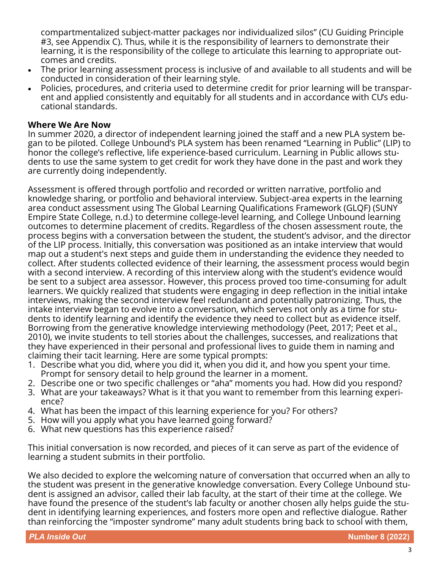compartmentalized subject-matter packages nor individualized silos" (CU Guiding Principle #3, see Appendix C). Thus, while it is the responsibility of learners to demonstrate their learning, it is the responsibility of the college to articulate this learning to appropriate outcomes and credits.

- The prior learning assessment process is inclusive of and available to all students and will be conducted in consideration of their learning style.
- Policies, procedures, and criteria used to determine credit for prior learning will be transparent and applied consistently and equitably for all students and in accordance with CU's educational standards.

### **Where We Are Now**

In summer 2020, a director of independent learning joined the staff and a new PLA system began to be piloted. College Unbound's PLA system has been renamed "Learning in Public" (LIP) to honor the college's reflective, life experience-based curriculum. Learning in Public allows students to use the same system to get credit for work they have done in the past and work they are currently doing independently.

Assessment is offered through portfolio and recorded or written narrative, portfolio and knowledge sharing, or portfolio and behavioral interview. Subject-area experts in the learning area conduct assessment using The Global Learning Qualifications Framework (GLQF) (SUNY Empire State College, n.d.) to determine college-level learning, and College Unbound learning outcomes to determine placement of credits. Regardless of the chosen assessment route, the process begins with a conversation between the student, the student's advisor, and the director of the LIP process. Initially, this conversation was positioned as an intake interview that would map out a student's next steps and guide them in understanding the evidence they needed to collect. After students collected evidence of their learning, the assessment process would begin with a second interview. A recording of this interview along with the student's evidence would be sent to a subject area assessor. However, this process proved too time-consuming for adult learners. We quickly realized that students were engaging in deep reflection in the initial intake interviews, making the second interview feel redundant and potentially patronizing. Thus, the intake interview began to evolve into a conversation, which serves not only as a time for students to identify learning and identify the evidence they need to collect but as evidence itself. Borrowing from the generative knowledge interviewing methodology (Peet, 2017; Peet et al., 2010), we invite students to tell stories about the challenges, successes, and realizations that they have experienced in their personal and professional lives to guide them in naming and claiming their tacit learning. Here are some typical prompts:

- 1. Describe what you did, where you did it, when you did it, and how you spent your time. Prompt for sensory detail to help ground the learner in a moment.
- 2. Describe one or two specific challenges or "aha" moments you had. How did you respond?
- 3. What are your takeaways? What is it that you want to remember from this learning experience?
- 4. What has been the impact of this learning experience for you? For others?
- 5. How will you apply what you have learned going forward?
- 6. What new questions has this experience raised?

This initial conversation is now recorded, and pieces of it can serve as part of the evidence of learning a student submits in their portfolio.

We also decided to explore the welcoming nature of conversation that occurred when an ally to the student was present in the generative knowledge conversation. Every College Unbound student is assigned an advisor, called their lab faculty, at the start of their time at the college. We have found the presence of the student's lab faculty or another chosen ally helps guide the student in identifying learning experiences, and fosters more open and reflective dialogue. Rather than reinforcing the "imposter syndrome" many adult students bring back to school with them,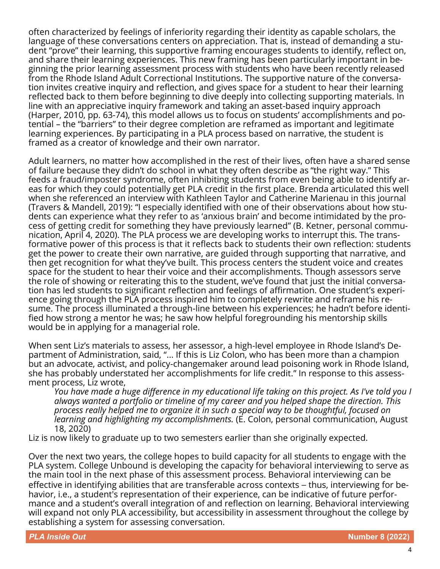often characterized by feelings of inferiority regarding their identity as capable scholars, the language of these conversations centers on appreciation. That is, instead of demanding a student "prove" their learning, this supportive framing encourages students to identify, reflect on, and share their learning experiences. This new framing has been particularly important in beginning the prior learning assessment process with students who have been recently released from the Rhode Island Adult Correctional Institutions. The supportive nature of the conversation invites creative inquiry and reflection, and gives space for a student to hear their learning reflected back to them before beginning to dive deeply into collecting supporting materials. In line with an appreciative inquiry framework and taking an asset-based inquiry approach (Harper, 2010, pp. 63-74), this model allows us to focus on students' accomplishments and potential – the "barriers" to their degree completion are reframed as important and legitimate learning experiences. By participating in a PLA process based on narrative, the student is framed as a creator of knowledge and their own narrator.

Adult learners, no matter how accomplished in the rest of their lives, often have a shared sense of failure because they didn't do school in what they often describe as "the right way." This feeds a fraud/imposter syndrome, often inhibiting students from even being able to identify areas for which they could potentially get PLA credit in the first place. Brenda articulated this well when she referenced an interview with Kathleen Taylor and Catherine Marienau in this journal (Travers & Mandell, 2019): "I especially identified with one of their observations about how students can experience what they refer to as 'anxious brain' and become intimidated by the process of getting credit for something they have previously learned" (B. Ketner, personal communication, April 4, 2020). The PLA process we are developing works to interrupt this. The transformative power of this process is that it reflects back to students their own reflection: students get the power to create their own narrative, are guided through supporting that narrative, and then get recognition for what they've built. This process centers the student voice and creates space for the student to hear their voice and their accomplishments. Though assessors serve the role of showing or reiterating this to the student, we've found that just the initial conversation has led students to significant reflection and feelings of affirmation. One student's experience going through the PLA process inspired him to completely rewrite and reframe his resume. The process illuminated a through-line between his experiences; he hadn't before identified how strong a mentor he was; he saw how helpful foregrounding his mentorship skills would be in applying for a managerial role.

When sent Liz's materials to assess, her assessor, a high-level employee in Rhode Island's Department of Administration, said, "... If this is Liz Colon, who has been more than a champion but an advocate, activist, and policy-changemaker around lead poisoning work in Rhode Island, she has probably understated her accomplishments for life credit." In response to this assessment process, Liz wrote,

*You have made a huge difference in my educational life taking on this project. As I've told you I always wanted a portfolio or timeline of my career and you helped shape the direction. This process really helped me to organize it in such a special way to be thoughtful, focused on learning and highlighting my accomplishments.* (E. Colon, personal communication, August 18, 2020)

Liz is now likely to graduate up to two semesters earlier than she originally expected.

Over the next two years, the college hopes to build capacity for all students to engage with the PLA system. College Unbound is developing the capacity for behavioral interviewing to serve as the main tool in the next phase of this assessment process. Behavioral interviewing can be effective in identifying abilities that are transferable across contexts – thus, interviewing for behavior, i.e., a student's representation of their experience, can be indicative of future performance and a student's overall integration of and reflection on learning. Behavioral interviewing will expand not only PLA accessibility, but accessibility in assessment throughout the college by establishing a system for assessing conversation.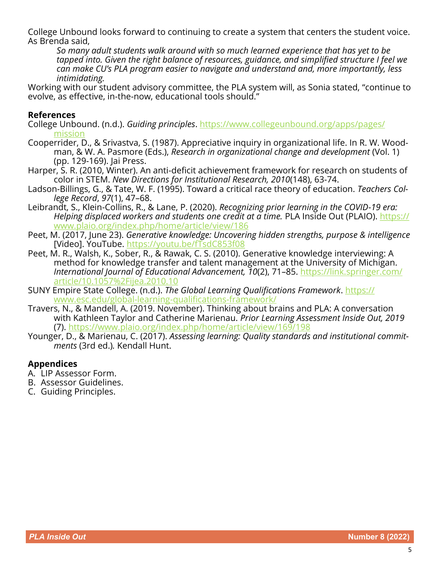College Unbound looks forward to continuing to create a system that centers the student voice. As Brenda said,

*So many adult students walk around with so much learned experience that has yet to be tapped into. Given the right balance of resources, guidance, and simplified structure I feel we can make CU's PLA program easier to navigate and understand and, more importantly, less intimidating.*

Working with our student advisory committee, the PLA system will, as Sonia stated, "continue to evolve, as effective, in-the-now, educational tools should."

### **References**

- College Unbound. (n.d.). *Guiding principles*. [https://www.collegeunbound.org/apps/pages/](https://www.collegeunbound.org/apps/pages/mission) [mission](https://www.collegeunbound.org/apps/pages/mission)
- Cooperrider, D., & Srivastva, S. (1987). Appreciative inquiry in organizational life. In R. W. Woodman, & W. A. Pasmore (Eds.), *Research in organizational change and development* (Vol. 1) (pp. 129-169). Jai Press.
- Harper, S. R. (2010, Winter). An anti-deficit achievement framework for research on students of color in STEM. *New Directions for Institutional Research, 2010*(148), 63-74.
- Ladson-Billings, G., & Tate, W. F. (1995). Toward a critical race theory of education. *Teachers College Record*, *97*(1), 47–68.
- Leibrandt, S., Klein-Collins, R., & Lane, P. (2020). *Recognizing prior learning in the COVID-19 era: Helping displaced workers and students one credit at a time.* PLA Inside Out (PLAIO). *[https://](https://www.plaio.org/index.php/home/article/view/186)* [www.plaio.org/index.php/home/article/view/186](https://www.plaio.org/index.php/home/article/view/186)
- Peet, M. (2017, June 23). *Generative knowledge: Uncovering hidden strengths, purpose & intelligence* [Video]. YouTube.<https://youtu.be/fTsdC853f08>
- Peet, M. R., Walsh, K., Sober, R., & Rawak, C. S. (2010). Generative knowledge interviewing: A method for knowledge transfer and talent management at the University of Michigan. *International Journal of Educational Advancement, 10*(2), 71–85. [https://link.springer.com/](https://link.springer.com/article/10.1057%2Fijea.2010.10) [article/10.1057%2Fijea.2010.10](https://link.springer.com/article/10.1057%2Fijea.2010.10)
- [SUNY](https://www.esc.edu/global-learning-qualifications-framework/) Empire State College. (n.d.). *The Global Learning Qualifications Framework*. [https://](https://www.esc.edu/global-learning-qualifications-framework/) [www.esc.edu/global](https://www.esc.edu/global-learning-qualifications-framework/)-learning-qualifications-framework/
- Travers, N., & Mandell, A. (2019. November). Thinking about brains and PLA: A conversation with Kathleen Taylor and Catherine Marienau. *Prior Learning Assessment Inside Out, 2019* (7). <https://www.plaio.org/index.php/home/article/view/169/198>
- Younger, D., & Marienau, C. (2017). *Assessing learning: Quality standards and institutional commitments* (3rd ed.)*.* Kendall Hunt.

### **Appendices**

- A. LIP Assessor Form.
- B. Assessor Guidelines.
- C. Guiding Principles.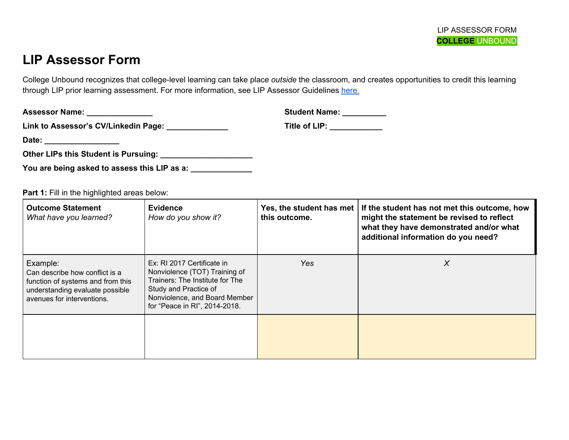# **LIP Assessor Form**

College Unbound recognizes that college-level learning can take place *outside* the classroom, and creates opportunities to credit this learning through LIP prior learning assessment. For more information, see LIP Assessor Guidelines [here.](https://docs.google.com/document/d/1iy7dG6GkC6ePRW3iquuU-VJ-v9o2NF-Bo8sPJ7qMQI4/edit?usp=sharing)

| <b>Assessor Name:</b>                | <b>Student Name:</b> |
|--------------------------------------|----------------------|
| Link to Assessor's CV/Linkedin Page: | Title of LIP:        |
| Date:                                |                      |

**Other LIPs this Student is Pursuing: \_\_\_\_\_\_\_\_\_\_\_\_\_\_\_\_\_\_\_\_\_**

| You are being asked to assess this LIP as a: |
|----------------------------------------------|
|----------------------------------------------|

Part 1: Fill in the highlighted areas below:

| <b>Outcome Statement</b><br>What have you learned?                                                                                               | <b>Evidence</b><br>How do you show it?                                                                                                                                                    | Yes, the student has met<br>this outcome. | If the student has not met this outcome, how<br>might the statement be revised to reflect<br>what they have demonstrated and/or what<br>additional information do you need? |
|--------------------------------------------------------------------------------------------------------------------------------------------------|-------------------------------------------------------------------------------------------------------------------------------------------------------------------------------------------|-------------------------------------------|-----------------------------------------------------------------------------------------------------------------------------------------------------------------------------|
| Example:<br>Can describe how conflict is a<br>function of systems and from this<br>understanding evaluate possible<br>avenues for interventions. | Ex: RI 2017 Certificate in<br>Nonviolence (TOT) Training of<br>Trainers: The Institute for The<br>Study and Practice of<br>Nonviolence, and Board Member<br>for "Peace in RI", 2014-2018. | Yes:                                      | X                                                                                                                                                                           |
|                                                                                                                                                  |                                                                                                                                                                                           |                                           |                                                                                                                                                                             |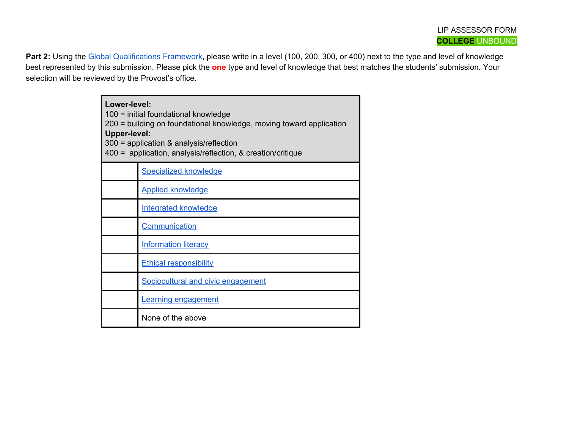Part 2: Using the Global Qualifications Framework, please write in a level (100, 200, 300, or 400) next to the type and level of knowledge best represented by this submission. Please pick the **one** type and level of knowledge that best matches the students' submission. Your selection will be reviewed by the Provost's office.

| Lower-level:<br>100 = initial foundational knowledge<br>200 = building on foundational knowledge, moving toward application<br><b>Upper-level:</b><br>$300$ = application & analysis/reflection<br>400 = application, analysis/reflection, & creation/critique |                                    |  |
|----------------------------------------------------------------------------------------------------------------------------------------------------------------------------------------------------------------------------------------------------------------|------------------------------------|--|
|                                                                                                                                                                                                                                                                | <b>Specialized knowledge</b>       |  |
|                                                                                                                                                                                                                                                                | <b>Applied knowledge</b>           |  |
|                                                                                                                                                                                                                                                                | <b>Integrated knowledge</b>        |  |
|                                                                                                                                                                                                                                                                | Communication                      |  |
|                                                                                                                                                                                                                                                                | <b>Information literacy</b>        |  |
|                                                                                                                                                                                                                                                                | <b>Ethical responsibility</b>      |  |
|                                                                                                                                                                                                                                                                | Sociocultural and civic engagement |  |
|                                                                                                                                                                                                                                                                | <b>Learning engagement</b>         |  |
|                                                                                                                                                                                                                                                                | None of the above                  |  |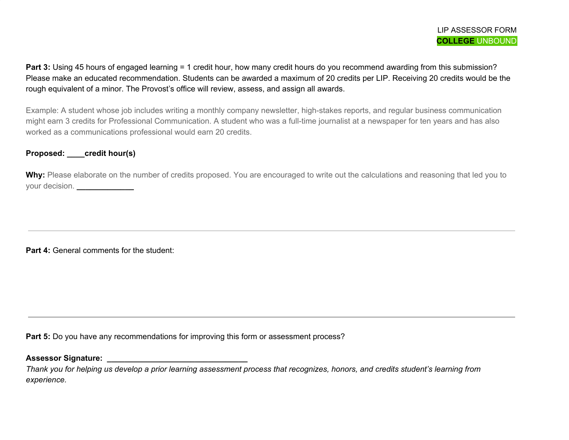**Part 3:** Using 45 hours of engaged learning = 1 credit hour, how many credit hours do you recommend awarding from this submission? Please make an educated recommendation. Students can be awarded a maximum of 20 credits per LIP. Receiving 20 credits would be the rough equivalent of a minor. The Provost's office will review, assess, and assign all awards.

Example: A student whose job includes writing a monthly company newsletter, high-stakes reports, and regular business communication might earn 3 credits for Professional Communication. A student who was a full-time journalist at a newspaper for ten years and has also worked as a communications professional would earn 20 credits.

### **Proposed: \_\_\_\_credit hour(s)**

Why: Please elaborate on the number of credits proposed. You are encouraged to write out the calculations and reasoning that led you to your decision. **\_\_\_\_\_\_\_\_\_\_\_\_\_**

**Part 4:** General comments for the student:

**Part 5:** Do you have any recommendations for improving this form or assessment process?

**Assessor Signature: \_\_\_\_\_\_\_\_\_\_\_\_\_\_\_\_\_\_\_\_\_\_\_\_\_\_\_\_\_\_\_\_**

Thank you for helping us develop a prior learning assessment process that recognizes, honors, and credits student's learning from *experience.*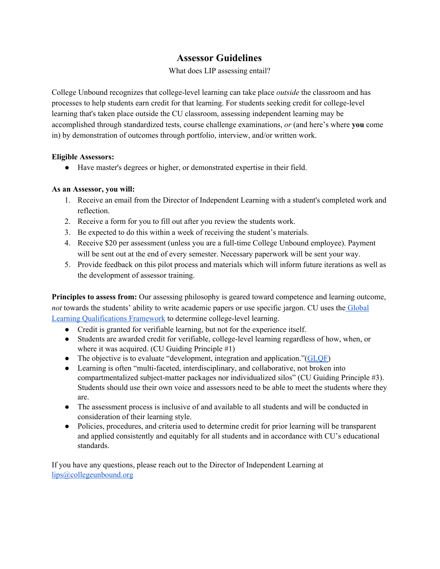# **Assessor Guidelines**

What does LIP assessing entail?

College Unbound recognizes that college-level learning can take place *outside* the classroom and has processes to help students earn credit for that learning. For students seeking credit for college-level learning that's taken place outside the CU classroom, assessing independent learning may be accomplished through standardized tests, course challenge examinations, *or* (and here's where **you** come in) by demonstration of outcomes through portfolio, interview, and/or written work.

### **Eligible Assessors:**

● Have master's degrees or higher, or demonstrated expertise in their field.

### **As an Assessor, you will:**

- 1. Receive an email from the Director of Independent Learning with a student's completed work and reflection.
- 2. Receive a form for you to fill out after you review the students work.
- 3. Be expected to do this within a week of receiving the student's materials.
- 4. Receive \$20 per assessment (unless you are a full-time College Unbound employee). Payment will be sent out at the end of every semester. Necessary paperwork will be sent your way.
- 5. Provide feedback on this pilot process and materials which will inform future iterations as well as the development of assessor training.

**Principles to assess from:** Our assessing philosophy is geared toward competence and learning outcome, *not* towards the students' ability to write academic papers or use specific jargon. CU uses the [Global](https://www.esc.edu/global-learning-qualifications-framework/) Learning [Qualifications](https://www.esc.edu/global-learning-qualifications-framework/) Framework to determine college-level learning.

- Credit is granted for verifiable learning, but not for the experience itself.
- Students are awarded credit for verifiable, college-level learning regardless of how, when, or where it was acquired. (CU Guiding Principle #1)
- The objective is to evaluate "development, integration and application." ([GLQF\)](https://www.esc.edu/global-learning-qualifications-framework/faculty-and-evaluators/)
- Learning is often "multi-faceted, interdisciplinary, and collaborative, not broken into compartmentalized subject-matter packages nor individualized silos" (CU Guiding Principle #3). Students should use their own voice and assessors need to be able to meet the students where they are.
- The assessment process is inclusive of and available to all students and will be conducted in consideration of their learning style.
- Policies, procedures, and criteria used to determine credit for prior learning will be transparent and applied consistently and equitably for all students and in accordance with CU's educational standards.

If you have any questions, please reach out to the Director of Independent Learning at [lips@collegeunbound.org](mailto:lips@collegeunbound.org)